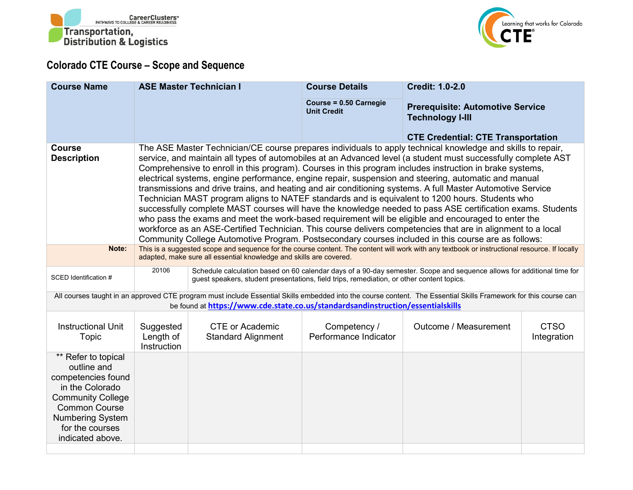



## **Colorado CTE Course – Scope and Sequence**

| <b>Course Name</b>                                                                                                                                                                                                                                  | <b>ASE Master Technician I</b>                                                                                                                                                                                                                                                                                                                                                                                                                                                                                                                                                                                                                                                                                                                                                                                                                                                                                                                                                                                                                                                                                 |                                                                                                                                                                                                                     | <b>Course Details</b>                        | <b>Credit: 1.0-2.0</b>                                             |                            |  |  |  |  |
|-----------------------------------------------------------------------------------------------------------------------------------------------------------------------------------------------------------------------------------------------------|----------------------------------------------------------------------------------------------------------------------------------------------------------------------------------------------------------------------------------------------------------------------------------------------------------------------------------------------------------------------------------------------------------------------------------------------------------------------------------------------------------------------------------------------------------------------------------------------------------------------------------------------------------------------------------------------------------------------------------------------------------------------------------------------------------------------------------------------------------------------------------------------------------------------------------------------------------------------------------------------------------------------------------------------------------------------------------------------------------------|---------------------------------------------------------------------------------------------------------------------------------------------------------------------------------------------------------------------|----------------------------------------------|--------------------------------------------------------------------|----------------------------|--|--|--|--|
|                                                                                                                                                                                                                                                     |                                                                                                                                                                                                                                                                                                                                                                                                                                                                                                                                                                                                                                                                                                                                                                                                                                                                                                                                                                                                                                                                                                                |                                                                                                                                                                                                                     | Course = 0.50 Carnegie<br><b>Unit Credit</b> | <b>Prerequisite: Automotive Service</b><br><b>Technology I-III</b> |                            |  |  |  |  |
| <b>Course</b>                                                                                                                                                                                                                                       |                                                                                                                                                                                                                                                                                                                                                                                                                                                                                                                                                                                                                                                                                                                                                                                                                                                                                                                                                                                                                                                                                                                |                                                                                                                                                                                                                     |                                              | <b>CTE Credential: CTE Transportation</b>                          |                            |  |  |  |  |
| <b>Description</b>                                                                                                                                                                                                                                  | The ASE Master Technician/CE course prepares individuals to apply technical knowledge and skills to repair,<br>service, and maintain all types of automobiles at an Advanced level (a student must successfully complete AST<br>Comprehensive to enroll in this program). Courses in this program includes instruction in brake systems,<br>electrical systems, engine performance, engine repair, suspension and steering, automatic and manual<br>transmissions and drive trains, and heating and air conditioning systems. A full Master Automotive Service<br>Technician MAST program aligns to NATEF standards and is equivalent to 1200 hours. Students who<br>successfully complete MAST courses will have the knowledge needed to pass ASE certification exams. Students<br>who pass the exams and meet the work-based requirement will be eligible and encouraged to enter the<br>workforce as an ASE-Certified Technician. This course delivers competencies that are in alignment to a local<br>Community College Automotive Program. Postsecondary courses included in this course are as follows: |                                                                                                                                                                                                                     |                                              |                                                                    |                            |  |  |  |  |
| Note:                                                                                                                                                                                                                                               | This is a suggested scope and sequence for the course content. The content will work with any textbook or instructional resource. If locally<br>adapted, make sure all essential knowledge and skills are covered.                                                                                                                                                                                                                                                                                                                                                                                                                                                                                                                                                                                                                                                                                                                                                                                                                                                                                             |                                                                                                                                                                                                                     |                                              |                                                                    |                            |  |  |  |  |
| SCED Identification #                                                                                                                                                                                                                               | 20106                                                                                                                                                                                                                                                                                                                                                                                                                                                                                                                                                                                                                                                                                                                                                                                                                                                                                                                                                                                                                                                                                                          | Schedule calculation based on 60 calendar days of a 90-day semester. Scope and sequence allows for additional time for<br>guest speakers, student presentations, field trips, remediation, or other content topics. |                                              |                                                                    |                            |  |  |  |  |
| All courses taught in an approved CTE program must include Essential Skills embedded into the course content. The Essential Skills Framework for this course can<br>be found at https://www.cde.state.co.us/standardsandinstruction/essentialskills |                                                                                                                                                                                                                                                                                                                                                                                                                                                                                                                                                                                                                                                                                                                                                                                                                                                                                                                                                                                                                                                                                                                |                                                                                                                                                                                                                     |                                              |                                                                    |                            |  |  |  |  |
| <b>Instructional Unit</b><br>Topic                                                                                                                                                                                                                  | Suggested<br>Length of<br>Instruction                                                                                                                                                                                                                                                                                                                                                                                                                                                                                                                                                                                                                                                                                                                                                                                                                                                                                                                                                                                                                                                                          | <b>CTE or Academic</b><br><b>Standard Alignment</b>                                                                                                                                                                 | Competency /<br>Performance Indicator        | Outcome / Measurement                                              | <b>CTSO</b><br>Integration |  |  |  |  |
| ** Refer to topical<br>outline and<br>competencies found<br>in the Colorado<br><b>Community College</b><br><b>Common Course</b><br><b>Numbering System</b><br>for the courses<br>indicated above.                                                   |                                                                                                                                                                                                                                                                                                                                                                                                                                                                                                                                                                                                                                                                                                                                                                                                                                                                                                                                                                                                                                                                                                                |                                                                                                                                                                                                                     |                                              |                                                                    |                            |  |  |  |  |